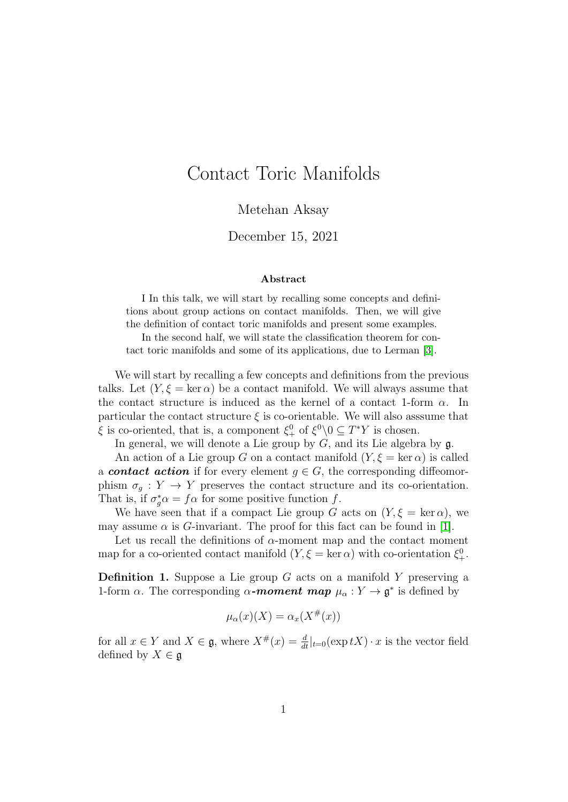# Contact Toric Manifolds

Metehan Aksay

#### December 15, 2021

#### Abstract

I In this talk, we will start by recalling some concepts and definitions about group actions on contact manifolds. Then, we will give the definition of contact toric manifolds and present some examples.

In the second half, we will state the classification theorem for contact toric manifolds and some of its applications, due to Lerman [\[3\]](#page-6-0).

We will start by recalling a few concepts and definitions from the previous talks. Let  $(Y, \xi = \ker \alpha)$  be a contact manifold. We will always assume that the contact structure is induced as the kernel of a contact 1-form  $\alpha$ . In particular the contact structure  $\xi$  is co-orientable. We will also assume that  $\xi$  is co-oriented, that is, a component  $\xi_{+}^{0}$  of  $\xi_{-}^{0} \setminus 0 \subseteq T^*Y$  is chosen.

In general, we will denote a Lie group by  $G$ , and its Lie algebra by  $\mathfrak{g}$ .

An action of a Lie group G on a contact manifold  $(Y, \xi = \ker \alpha)$  is called a **contact action** if for every element  $g \in G$ , the corresponding diffeomorphism  $\sigma_q: Y \to Y$  preserves the contact structure and its co-orientation. That is, if  $\sigma_g^* \alpha = f \alpha$  for some positive function f.

We have seen that if a compact Lie group G acts on  $(Y, \xi = \ker \alpha)$ , we may assume  $\alpha$  is G-invariant. The proof for this fact can be found in [\[1\]](#page-6-1).

Let us recall the definitions of  $\alpha$ -moment map and the contact moment map for a co-oriented contact manifold  $(Y, \xi = \ker \alpha)$  with co-orientation  $\xi_+^0$ .

**Definition 1.** Suppose a Lie group G acts on a manifold Y preserving a 1-form  $\alpha$ . The corresponding  $\alpha$ -moment map  $\mu_{\alpha}: Y \to \mathfrak{g}^*$  is defined by

$$
\mu_{\alpha}(x)(X) = \alpha_x(X^{\#}(x))
$$

for all  $x \in Y$  and  $X \in \mathfrak{g}$ , where  $X^{\#}(x) = \frac{d}{dt}|_{t=0}(\exp tX) \cdot x$  is the vector field defined by  $X \in \mathfrak{g}$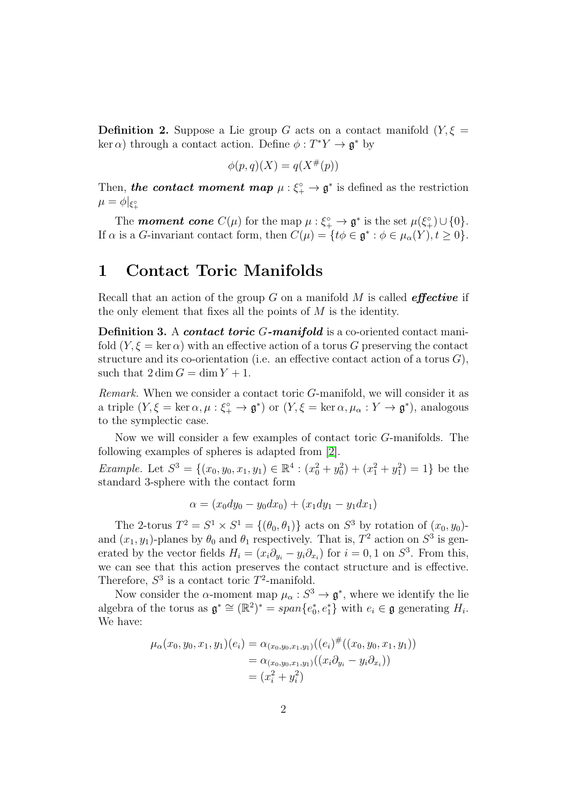**Definition 2.** Suppose a Lie group G acts on a contact manifold  $(Y, \xi =$ ker  $\alpha$ ) through a contact action. Define  $\phi: T^*Y \to \mathfrak{g}^*$  by

$$
\phi(p,q)(X) = q(X^{\#}(p))
$$

Then, the contact moment map  $\mu: \xi_{+}^{\circ} \to \mathfrak{g}^*$  is defined as the restriction  $\mu=\phi|_{\xi_+^\circ}$ 

The **moment cone**  $C(\mu)$  for the map  $\mu : \xi_{+}^{\circ} \to \mathfrak{g}^*$  is the set  $\mu(\xi_{+}^{\circ}) \cup \{0\}.$ If  $\alpha$  is a G-invariant contact form, then  $C(\mu) = \{ t\phi \in \mathfrak{g}^* : \phi \in \mu_\alpha(Y), t \geq 0 \}.$ 

## 1 Contact Toric Manifolds

Recall that an action of the group  $G$  on a manifold  $M$  is called *effective* if the only element that fixes all the points of  $M$  is the identity.

Definition 3. A contact toric G-manifold is a co-oriented contact manifold  $(Y, \xi = \ker \alpha)$  with an effective action of a torus G preserving the contact structure and its co-orientation (i.e. an effective contact action of a torus  $G$ ), such that  $2 \dim G = \dim Y + 1$ .

Remark. When we consider a contact toric G-manifold, we will consider it as a triple  $(Y, \xi = \ker \alpha, \mu : \xi_+^{\circ} \to \mathfrak{g}^*)$  or  $(Y, \xi = \ker \alpha, \mu_{\alpha} : Y \to \mathfrak{g}^*)$ , analogous to the symplectic case.

Now we will consider a few examples of contact toric G-manifolds. The following examples of spheres is adapted from [\[2\]](#page-6-2).

Example. Let  $S^3 = \{(x_0, y_0, x_1, y_1) \in \mathbb{R}^4 : (x_0^2 + y_0^2) + (x_1^2 + y_1^2) = 1\}$  be the standard 3-sphere with the contact form

$$
\alpha = (x_0 dy_0 - y_0 dx_0) + (x_1 dy_1 - y_1 dx_1)
$$

The 2-torus  $T^2 = S^1 \times S^1 = \{(\theta_0, \theta_1)\}\$ acts on  $S^3$  by rotation of  $(x_0, y_0)$ and  $(x_1, y_1)$ -planes by  $\theta_0$  and  $\theta_1$  respectively. That is,  $T^2$  action on  $S^3$  is generated by the vector fields  $H_i = (x_i \partial_{y_i} - y_i \partial_{x_i})$  for  $i = 0, 1$  on  $S^3$ . From this, we can see that this action preserves the contact structure and is effective. Therefore,  $S^3$  is a contact toric  $T^2$ -manifold.

Now consider the  $\alpha$ -moment map  $\mu_{\alpha}: S^3 \to \mathfrak{g}^*$ , where we identify the lie algebra of the torus as  $\mathfrak{g}^* \cong (\mathbb{R}^2)^* = span\{e_0^*, e_1^*\}\$  with  $e_i \in \mathfrak{g}$  generating  $H_i$ . We have:

$$
\mu_{\alpha}(x_0, y_0, x_1, y_1)(e_i) = \alpha_{(x_0, y_0, x_1, y_1)}((e_i)^{\#}((x_0, y_0, x_1, y_1))
$$
  
=  $\alpha_{(x_0, y_0, x_1, y_1)}((x_i \partial_{y_i} - y_i \partial_{x_i}))$   
=  $(x_i^2 + y_i^2)$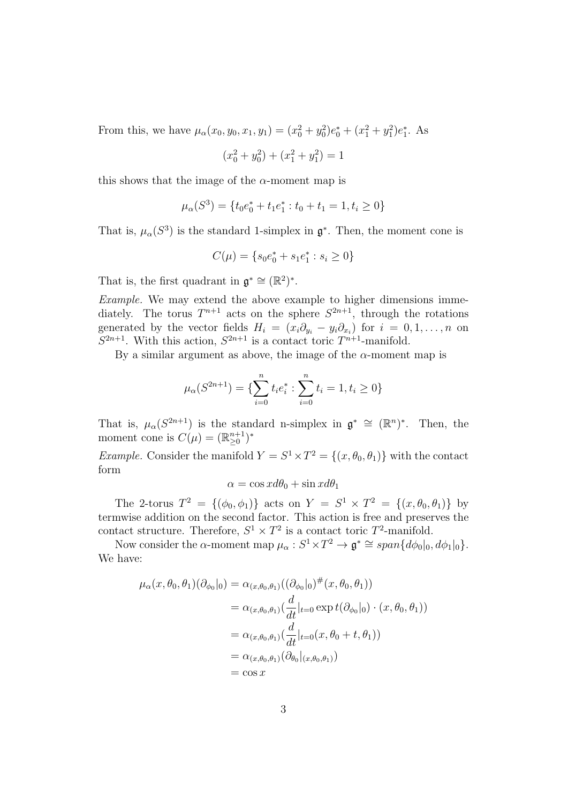From this, we have  $\mu_{\alpha}(x_0, y_0, x_1, y_1) = (x_0^2 + y_0^2)e_0^* + (x_1^2 + y_1^2)e_1^*$ . As

$$
(x_0^2 + y_0^2) + (x_1^2 + y_1^2) = 1
$$

this shows that the image of the  $\alpha$ -moment map is

$$
\mu_{\alpha}(S^3) = \{ t_0 e_0^* + t_1 e_1^* : t_0 + t_1 = 1, t_i \ge 0 \}
$$

That is,  $\mu_{\alpha}(S^3)$  is the standard 1-simplex in  $\mathfrak{g}^*$ . Then, the moment cone is

$$
C(\mu) = \{ s_0 e_0^* + s_1 e_1^* : s_i \ge 0 \}
$$

That is, the first quadrant in  $\mathfrak{g}^* \cong (\mathbb{R}^2)^*$ .

Example. We may extend the above example to higher dimensions immediately. The torus  $T^{n+1}$  acts on the sphere  $S^{2n+1}$ , through the rotations generated by the vector fields  $H_i = (x_i \partial_{y_i} - y_i \partial_{x_i})$  for  $i = 0, 1, ..., n$  on  $S^{2n+1}$ . With this action,  $S^{2n+1}$  is a contact toric  $T^{n+1}$ -manifold.

By a similar argument as above, the image of the  $\alpha$ -moment map is

$$
\mu_{\alpha}(S^{2n+1}) = \{ \sum_{i=0}^{n} t_i e_i^* : \sum_{i=0}^{n} t_i = 1, t_i \ge 0 \}
$$

That is,  $\mu_{\alpha}(S^{2n+1})$  is the standard n-simplex in  $\mathfrak{g}^* \cong (\mathbb{R}^n)^*$ . Then, the moment cone is  $C(\mu) = (\mathbb{R}^{n+1}_{\geq 0})^*$ 

*Example.* Consider the manifold  $Y = S^1 \times T^2 = \{(x, \theta_0, \theta_1)\}\$  with the contact form

$$
\alpha = \cos x d\theta_0 + \sin x d\theta_1
$$

The 2-torus  $T^2 = \{(\phi_0, \phi_1)\}\$ acts on  $Y = S^1 \times T^2 = \{(x, \theta_0, \theta_1)\}\$ by termwise addition on the second factor. This action is free and preserves the contact structure. Therefore,  $S^1 \times T^2$  is a contact toric  $T^2$ -manifold.

Now consider the  $\alpha$ -moment map  $\mu_{\alpha}: S^1 \times T^2 \to \mathfrak{g}^* \cong span\{d\phi_0|_0, d\phi_1|_0\}.$ We have:

$$
\mu_{\alpha}(x,\theta_{0},\theta_{1})(\partial_{\phi_{0}}|_{0}) = \alpha_{(x,\theta_{0},\theta_{1})}((\partial_{\phi_{0}}|_{0})^{\#}(x,\theta_{0},\theta_{1}))
$$
  
\n
$$
= \alpha_{(x,\theta_{0},\theta_{1})}(\frac{d}{dt}|_{t=0} \exp t(\partial_{\phi_{0}}|_{0}) \cdot (x,\theta_{0},\theta_{1}))
$$
  
\n
$$
= \alpha_{(x,\theta_{0},\theta_{1})}(\frac{d}{dt}|_{t=0}(x,\theta_{0}+t,\theta_{1}))
$$
  
\n
$$
= \alpha_{(x,\theta_{0},\theta_{1})}(\partial_{\theta_{0}}|_{(x,\theta_{0},\theta_{1})})
$$
  
\n
$$
= \cos x
$$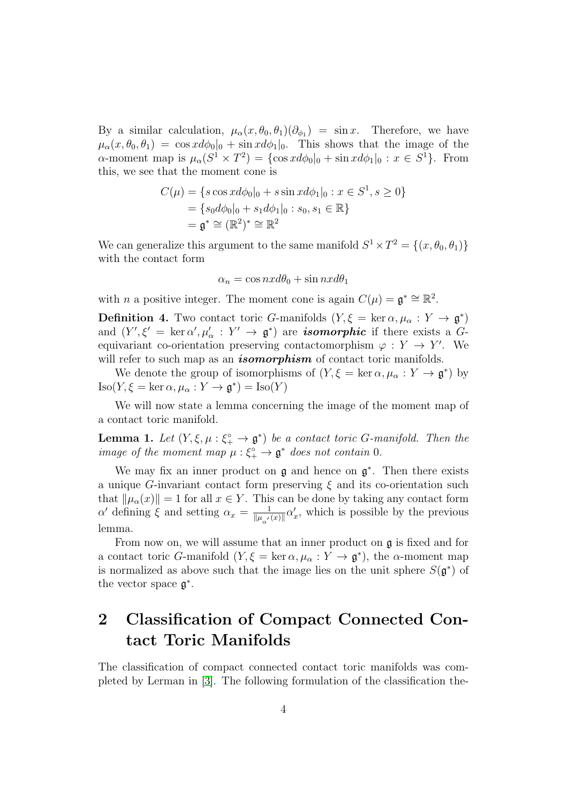By a similar calculation,  $\mu_{\alpha}(x,\theta_0,\theta_1)(\partial_{\phi_1}) = \sin x$ . Therefore, we have  $\mu_{\alpha}(x,\theta_0,\theta_1) = \cos x d\phi_0|_0 + \sin x d\phi_1|_0$ . This shows that the image of the  $\alpha$ -moment map is  $\mu_{\alpha}(S^1 \times T^2) = {\cos x d\phi_0|_0 + \sin x d\phi_1|_0 : x \in S^1}.$  From this, we see that the moment cone is

$$
C(\mu) = \{s \cos x d\phi_0|_0 + s \sin x d\phi_1|_0 : x \in S^1, s \ge 0\}
$$
  
=  $\{s_0 d\phi_0|_0 + s_1 d\phi_1|_0 : s_0, s_1 \in \mathbb{R}\}$   
=  $\mathfrak{g}^* \cong (\mathbb{R}^2)^* \cong \mathbb{R}^2$ 

We can generalize this argument to the same manifold  $S^1 \times T^2 = \{(x, \theta_0, \theta_1)\}\$ with the contact form

$$
\alpha_n = \cos nx d\theta_0 + \sin nx d\theta_1
$$

with *n* a positive integer. The moment cone is again  $C(\mu) = \mathfrak{g}^* \cong \mathbb{R}^2$ .

**Definition 4.** Two contact toric G-manifolds  $(Y, \xi = \ker \alpha, \mu_\alpha : Y \to \mathfrak{g}^*)$ and  $(Y', \xi' = \ker \alpha', \mu'_\alpha : Y' \to \mathfrak{g}^*$  are **isomorphic** if there exists a Gequivariant co-orientation preserving contactomorphism  $\varphi: Y \to Y'$ . We will refer to such map as an *isomorphism* of contact toric manifolds.

We denote the group of isomorphisms of  $(Y, \xi = \ker \alpha, \mu_\alpha : Y \to \mathfrak{g}^*)$  by  $\text{Iso}(Y, \xi = \ker \alpha, \mu_\alpha : Y \to \mathfrak{g}^*) = \text{Iso}(Y)$ 

We will now state a lemma concerning the image of the moment map of a contact toric manifold.

**Lemma 1.** Let  $(Y, \xi, \mu : \xi^{\circ} \to \mathfrak{g}^*)$  be a contact toric G-manifold. Then the image of the moment map  $\mu : \xi^{\circ}_{+} \to \mathfrak{g}^{*}$  does not contain 0.

We may fix an inner product on  $\mathfrak g$  and hence on  $\mathfrak g^*$ . Then there exists a unique G-invariant contact form preserving  $\xi$  and its co-orientation such that  $\|\mu_{\alpha}(x)\| = 1$  for all  $x \in Y$ . This can be done by taking any contact form  $\alpha'$  defining  $\xi$  and setting  $\alpha_x = \frac{1}{\|u\|_F}$  $\frac{1}{\|\mu_{\alpha'}(x)\|} \alpha'_x$ , which is possible by the previous lemma.

From now on, we will assume that an inner product on g is fixed and for a contact toric G-manifold  $(Y, \xi = \ker \alpha, \mu_\alpha : Y \to \mathfrak{g}^*)$ , the  $\alpha$ -moment map is normalized as above such that the image lies on the unit sphere  $S(\mathfrak{g}^*)$  of the vector space  $\mathfrak{g}^*$ .

# 2 Classification of Compact Connected Contact Toric Manifolds

The classification of compact connected contact toric manifolds was completed by Lerman in [\[3\]](#page-6-0). The following formulation of the classification the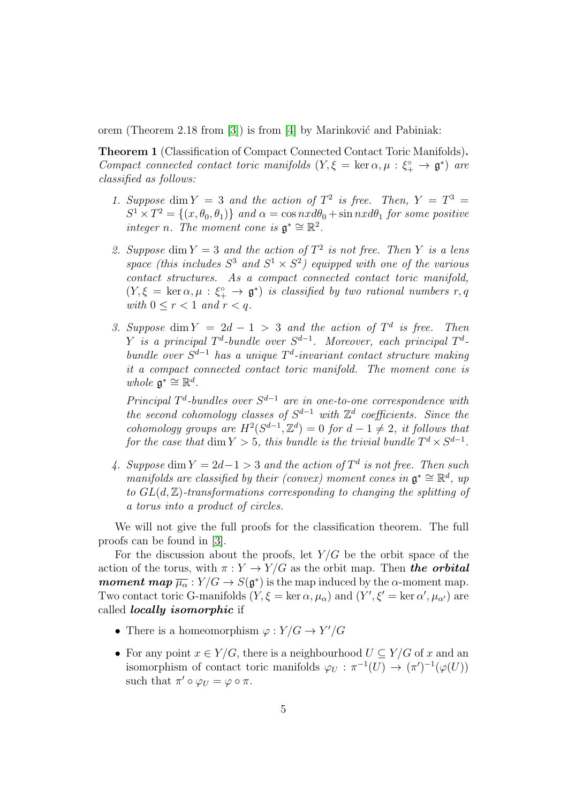orem (Theorem 2.18 from  $[3]$ ) is from  $[4]$  by Marinković and Pabiniak:

Theorem 1 (Classification of Compact Connected Contact Toric Manifolds). Compact connected contact toric manifolds  $(Y, \xi = \ker \alpha, \mu : \xi^{\circ} \to \mathfrak{g}^*)$  are classified as follows:

- 1. Suppose dim  $Y = 3$  and the action of  $T^2$  is free. Then,  $Y = T^3 = 1$  $S^1 \times T^2 = \{(x, \theta_0, \theta_1)\}\$ and  $\alpha = \cos nx d\theta_0 + \sin nx d\theta_1$  for some positive integer n. The moment cone is  $\mathfrak{g}^* \cong \mathbb{R}^2$ .
- 2. Suppose dim  $Y = 3$  and the action of  $T^2$  is not free. Then Y is a lens space (this includes  $S^3$  and  $S^1 \times S^2$ ) equipped with one of the various contact structures. As a compact connected contact toric manifold,  $(Y, \xi = \ker \alpha, \mu : \xi_+^{\circ} \to \mathfrak{g}^*)$  is classified by two rational numbers  $r, q$ with  $0 \leq r < 1$  and  $r < q$ .
- 3. Suppose dim  $Y = 2d 1 > 3$  and the action of  $T<sup>d</sup>$  is free. Then Y is a principal  $T^d$ -bundle over  $S^{d-1}$ . Moreover, each principal  $T^d$ bundle over  $S^{d-1}$  has a unique  $T^d$ -invariant contact structure making it a compact connected contact toric manifold. The moment cone is whole  $\mathfrak{g}^* \cong \mathbb{R}^d$ .

Principal  $T^d$ -bundles over  $S^{d-1}$  are in one-to-one correspondence with the second cohomology classes of  $S^{d-1}$  with  $\mathbb{Z}^d$  coefficients. Since the cohomology groups are  $H^2(S^{d-1}, \mathbb{Z}^d) = 0$  for  $d-1 \neq 2$ , it follows that for the case that  $\dim Y > 5$ , this bundle is the trivial bundle  $T^d \times S^{d-1}$ .

4. Suppose dim  $Y = 2d-1 > 3$  and the action of  $T^d$  is not free. Then such manifolds are classified by their (convex) moment cones in  $\mathfrak{g}^* \cong \mathbb{R}^d$ , up to  $GL(d, \mathbb{Z})$ -transformations corresponding to changing the splitting of a torus into a product of circles.

We will not give the full proofs for the classification theorem. The full proofs can be found in [\[3\]](#page-6-0).

For the discussion about the proofs, let  $Y/G$  be the orbit space of the action of the torus, with  $\pi : Y \to Y/G$  as the orbit map. Then the orbital *moment map*  $\overline{\mu_{\alpha}}$  :  $Y/G \to S(\mathfrak{g}^*)$  is the map induced by the  $\alpha$ -moment map. Two contact toric G-manifolds  $(Y, \xi = \ker \alpha, \mu_\alpha)$  and  $(Y', \xi' = \ker \alpha', \mu_{\alpha'})$  are called locally isomorphic if

- There is a homeomorphism  $\varphi: Y/G \to Y'/G$
- For any point  $x \in Y/G$ , there is a neighbourhood  $U \subseteq Y/G$  of x and an isomorphism of contact toric manifolds  $\varphi_U : \pi^{-1}(U) \to (\pi')^{-1}(\varphi(U))$ such that  $\pi' \circ \varphi_U = \varphi \circ \pi$ .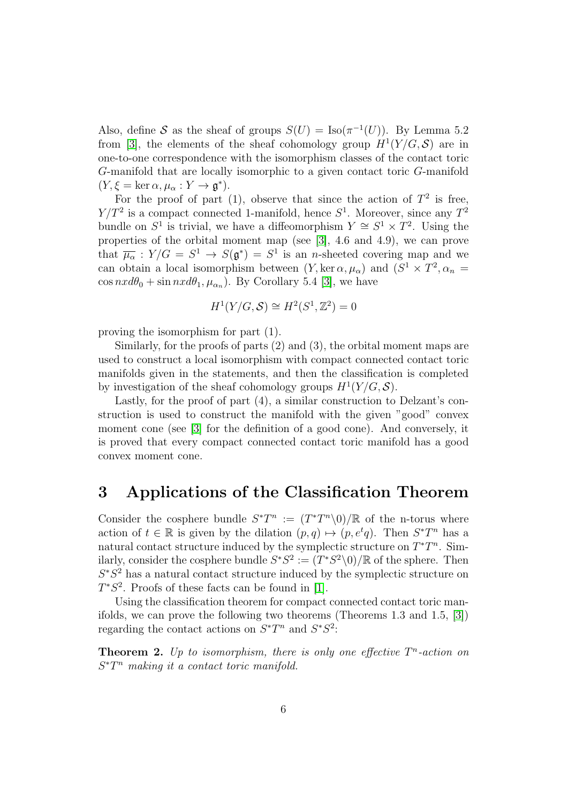Also, define S as the sheaf of groups  $S(U) = \text{Iso}(\pi^{-1}(U))$ . By Lemma 5.2 from [\[3\]](#page-6-0), the elements of the sheaf cohomology group  $H^1(Y/G, \mathcal{S})$  are in one-to-one correspondence with the isomorphism classes of the contact toric G-manifold that are locally isomorphic to a given contact toric G-manifold  $(Y, \xi = \ker \alpha, \mu_\alpha : Y \to \mathfrak{g}^*).$ 

For the proof of part (1), observe that since the action of  $T^2$  is free,  $Y/T^2$  is a compact connected 1-manifold, hence  $S^1$ . Moreover, since any  $T^2$ bundle on  $S^1$  is trivial, we have a diffeomorphism  $Y \cong S^1 \times T^2$ . Using the properties of the orbital moment map (see [\[3\]](#page-6-0), 4.6 and 4.9), we can prove that  $\overline{\mu_{\alpha}}$ :  $Y/G = S^1 \rightarrow S(\mathfrak{g}^*) = S^1$  is an *n*-sheeted covering map and we can obtain a local isomorphism between  $(Y, \ker \alpha, \mu_\alpha)$  and  $(S^1 \times T^2, \alpha_n =$  $\cos nx d\theta_0 + \sin nx d\theta_1, \mu_{\alpha_n}$ ). By Corollary 5.4 [\[3\]](#page-6-0), we have

$$
H^1(Y/G, \mathcal{S}) \cong H^2(S^1, \mathbb{Z}^2) = 0
$$

proving the isomorphism for part (1).

Similarly, for the proofs of parts (2) and (3), the orbital moment maps are used to construct a local isomorphism with compact connected contact toric manifolds given in the statements, and then the classification is completed by investigation of the sheaf cohomology groups  $H^1(Y/G, \mathcal{S})$ .

Lastly, for the proof of part (4), a similar construction to Delzant's construction is used to construct the manifold with the given "good" convex moment cone (see [\[3\]](#page-6-0) for the definition of a good cone). And conversely, it is proved that every compact connected contact toric manifold has a good convex moment cone.

## 3 Applications of the Classification Theorem

Consider the cosphere bundle  $S^*T^n := (T^*T^n\setminus 0)/\mathbb{R}$  of the n-torus where action of  $t \in \mathbb{R}$  is given by the dilation  $(p, q) \mapsto (p, e^t q)$ . Then  $S^*T^n$  has a natural contact structure induced by the symplectic structure on  $T^*T^n$ . Similarly, consider the cosphere bundle  $S^*S^2 := (T^*S^2 \setminus 0)/\mathbb{R}$  of the sphere. Then  $S^*S^2$  has a natural contact structure induced by the symplectic structure on  $T^*S^2$ . Proofs of these facts can be found in [\[1\]](#page-6-1).

Using the classification theorem for compact connected contact toric manifolds, we can prove the following two theorems (Theorems 1.3 and 1.5, [\[3\]](#page-6-0)) regarding the contact actions on  $S^*T^n$  and  $S^*S^2$ :

**Theorem 2.** Up to isomorphism, there is only one effective  $T<sup>n</sup>$ -action on  $S^*T^n$  making it a contact toric manifold.